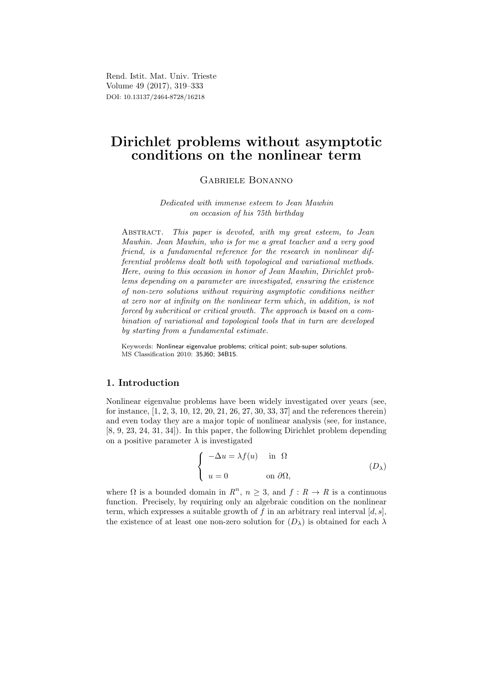Rend. Istit. Mat. Univ. Trieste Volume 49 (2017), 319–333 DOI: 10.13137/2464-8728/16218

# Dirichlet problems without asymptotic conditions on the nonlinear term

## Gabriele Bonanno

Dedicated with immense esteem to Jean Mawhin on occasion of his 75th birthday

ABSTRACT. This paper is devoted, with my great esteem, to Jean Mawhin. Jean Mawhin, who is for me a great teacher and a very good friend, is a fundamental reference for the research in nonlinear differential problems dealt both with topological and variational methods. Here, owing to this occasion in honor of Jean Mawhin, Dirichlet problems depending on a parameter are investigated, ensuring the existence of non-zero solutions without requiring asymptotic conditions neither at zero nor at infinity on the nonlinear term which, in addition, is not forced by subcritical or critical growth. The approach is based on a combination of variational and topological tools that in turn are developed by starting from a fundamental estimate.

Keywords: Nonlinear eigenvalue problems; critical point; sub-super solutions. MS Classification 2010: 35J60; 34B15.

# 1. Introduction

Nonlinear eigenvalue problems have been widely investigated over years (see, for instance, [1, 2, 3, 10, 12, 20, 21, 26, 27, 30, 33, 37] and the references therein) and even today they are a major topic of nonlinear analysis (see, for instance, [8, 9, 23, 24, 31, 34]). In this paper, the following Dirichlet problem depending on a positive parameter  $\lambda$  is investigated

$$
\begin{cases}\n-\Delta u = \lambda f(u) & \text{in } \Omega \\
u = 0 & \text{on } \partial\Omega,\n\end{cases}
$$
\n
$$
(D_{\lambda})
$$

where  $\Omega$  is a bounded domain in  $R^n$ ,  $n \geq 3$ , and  $f: R \to R$  is a continuous function. Precisely, by requiring only an algebraic condition on the nonlinear term, which expresses a suitable growth of f in an arbitrary real interval  $[d, s]$ , the existence of at least one non-zero solution for  $(D_\lambda)$  is obtained for each  $\lambda$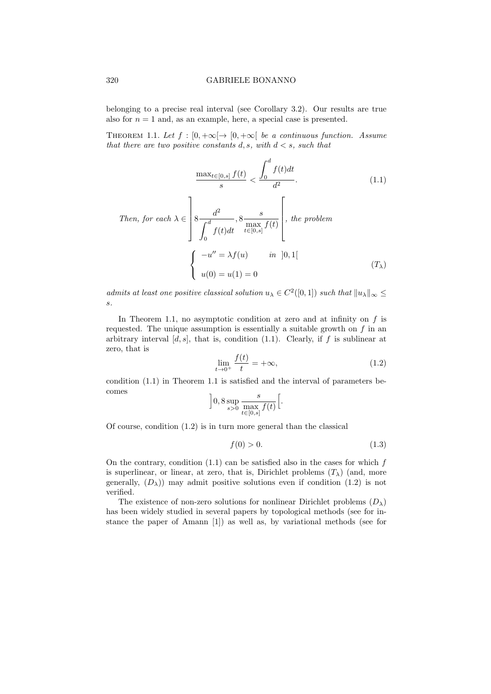belonging to a precise real interval (see Corollary 3.2). Our results are true also for  $n = 1$  and, as an example, here, a special case is presented.

THEOREM 1.1. Let  $f : [0, +\infty] \to [0, +\infty]$  be a continuous function. Assume that there are two positive constants d, s, with  $d < s$ , such that

$$
\frac{\max_{t \in [0,s]} f(t)}{s} < \frac{\int_0^d f(t)dt}{d^2}.\tag{1.1}
$$

Then, for each 
$$
\lambda \in \left] 8 \frac{d^2}{\int_0^d f(t)dt}
$$
,  $8 \frac{s}{\max_{t \in [0,s]} f(t)} \right[$ , the problem  

$$
\begin{cases}\n-u'' = \lambda f(u) & \text{in } ]0,1[ \\
u(0) = u(1) = 0\n\end{cases}
$$
\n
$$
(T_{\lambda})
$$

admits at least one positive classical solution  $u_{\lambda} \in C^2([0,1])$  such that  $||u_{\lambda}||_{\infty} \le$ s.

In Theorem 1.1, no asymptotic condition at zero and at infinity on  $f$  is requested. The unique assumption is essentially a suitable growth on  $f$  in an arbitrary interval  $[d, s]$ , that is, condition (1.1). Clearly, if f is sublinear at zero, that is

$$
\lim_{t \to 0^+} \frac{f(t)}{t} = +\infty,
$$
\n(1.2)

condition (1.1) in Theorem 1.1 is satisfied and the interval of parameters becomes

$$
\left]0,8\sup_{s>0}\frac{s}{\max_{t\in[0,s]}f(t)}\right[.
$$

Of course, condition (1.2) is in turn more general than the classical

$$
f(0) > 0. \t\t(1.3)
$$

On the contrary, condition  $(1.1)$  can be satisfied also in the cases for which f is superlinear, or linear, at zero, that is, Dirichlet problems  $(T_{\lambda})$  (and, more generally,  $(D_{\lambda})$  may admit positive solutions even if condition (1.2) is not verified.

The existence of non-zero solutions for nonlinear Dirichlet problems  $(D_\lambda)$ has been widely studied in several papers by topological methods (see for instance the paper of Amann [1]) as well as, by variational methods (see for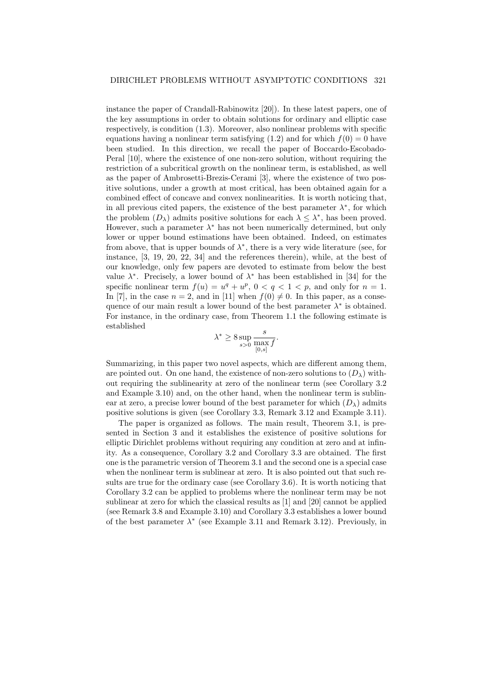instance the paper of Crandall-Rabinowitz [20]). In these latest papers, one of the key assumptions in order to obtain solutions for ordinary and elliptic case respectively, is condition (1.3). Moreover, also nonlinear problems with specific equations having a nonlinear term satisfying  $(1.2)$  and for which  $f(0) = 0$  have been studied. In this direction, we recall the paper of Boccardo-Escobado-Peral [10], where the existence of one non-zero solution, without requiring the restriction of a subcritical growth on the nonlinear term, is established, as well as the paper of Ambrosetti-Brezis-Cerami [3], where the existence of two positive solutions, under a growth at most critical, has been obtained again for a combined effect of concave and convex nonlinearities. It is worth noticing that, in all previous cited papers, the existence of the best parameter  $\lambda^*$ , for which the problem  $(D_\lambda)$  admits positive solutions for each  $\lambda \leq \lambda^*$ , has been proved. However, such a parameter  $\lambda^*$  has not been numerically determined, but only lower or upper bound estimations have been obtained. Indeed, on estimates from above, that is upper bounds of  $\lambda^*$ , there is a very wide literature (see, for instance, [3, 19, 20, 22, 34] and the references therein), while, at the best of our knowledge, only few papers are devoted to estimate from below the best value  $\lambda^*$ . Precisely, a lower bound of  $\lambda^*$  has been established in [34] for the specific nonlinear term  $f(u) = u^q + u^p$ ,  $0 < q < 1 < p$ , and only for  $n = 1$ . In [7], in the case  $n = 2$ , and in [11] when  $f(0) \neq 0$ . In this paper, as a consequence of our main result a lower bound of the best parameter  $\lambda^*$  is obtained. For instance, in the ordinary case, from Theorem 1.1 the following estimate is established

$$
\lambda^* \ge 8 \sup_{s>0} \frac{s}{\max_{[0,s]} f}.
$$

Summarizing, in this paper two novel aspects, which are different among them, are pointed out. On one hand, the existence of non-zero solutions to  $(D_\lambda)$  without requiring the sublinearity at zero of the nonlinear term (see Corollary 3.2 and Example 3.10) and, on the other hand, when the nonlinear term is sublinear at zero, a precise lower bound of the best parameter for which  $(D<sub>\lambda</sub>)$  admits positive solutions is given (see Corollary 3.3, Remark 3.12 and Example 3.11).

The paper is organized as follows. The main result, Theorem 3.1, is presented in Section 3 and it establishes the existence of positive solutions for elliptic Dirichlet problems without requiring any condition at zero and at infinity. As a consequence, Corollary 3.2 and Corollary 3.3 are obtained. The first one is the parametric version of Theorem 3.1 and the second one is a special case when the nonlinear term is sublinear at zero. It is also pointed out that such results are true for the ordinary case (see Corollary 3.6). It is worth noticing that Corollary 3.2 can be applied to problems where the nonlinear term may be not sublinear at zero for which the classical results as [1] and [20] cannot be applied (see Remark 3.8 and Example 3.10) and Corollary 3.3 establishes a lower bound of the best parameter  $\lambda^*$  (see Example 3.11 and Remark 3.12). Previously, in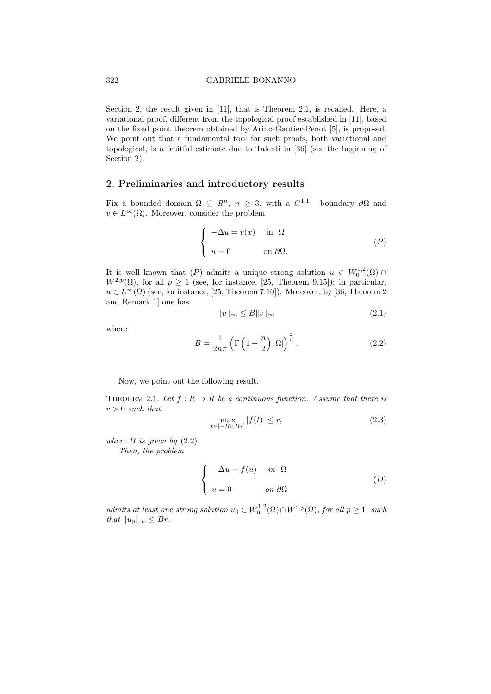Section 2, the result given in [11], that is Theorem 2.1, is recalled. Here, a variational proof, different from the topological proof established in [11], based on the fixed point theorem obtained by Arino-Gautier-Penot [5], is proposed. We point out that a fundamental tool for such proofs, both variational and topological, is a fruitful estimate due to Talenti in [36] (see the beginning of Section 2).

# 2. Preliminaries and introductory results

Fix a bounded domain  $\Omega \subseteq R^n$ ,  $n \geq 3$ , with a  $C^{1,1}$ - boundary  $\partial\Omega$  and  $v \in L^{\infty}(\Omega)$ . Moreover, consider the problem

$$
\begin{cases}\n-\Delta u = v(x) & \text{in } \Omega \\
u = 0 & \text{on } \partial\Omega.\n\end{cases}
$$
\n
$$
(P)
$$

It is well known that  $(P)$  admits a unique strong solution  $u \in W_0^{1,2}(\Omega)$  $W^{2,p}(\Omega)$ , for all  $p \geq 1$  (see, for instance, [25, Theorem 9.15]); in particular,  $u \in L^{\infty}(\Omega)$  (see, for instance, [25, Theorem 7.10]). Moreover, by [36, Theorem 2 and Remark 1] one has

$$
||u||_{\infty} \le B||v||_{\infty} \tag{2.1}
$$

where

$$
B = \frac{1}{2n\pi} \left( \Gamma\left(1 + \frac{n}{2}\right)|\Omega|\right)^{\frac{2}{n}}.
$$
 (2.2)

Now, we point out the following result.

THEOREM 2.1. Let  $f: R \to R$  be a continuous function. Assume that there is  $r > 0$  such that

$$
\max_{t \in [-Br, Br]} |f(t)| \le r,\tag{2.3}
$$

where  $B$  is given by  $(2.2)$ .

Then, the problem

$$
\begin{cases}\n-\Delta u = f(u) & \text{in } \Omega \\
u = 0 & \text{on } \partial\Omega\n\end{cases}
$$
\n(D)

admits at least one strong solution  $u_0 \in W_0^{1,2}(\Omega) \cap W^{2,p}(\Omega)$ , for all  $p \ge 1$ , such that  $||u_0||_{\infty} \leq Br$ .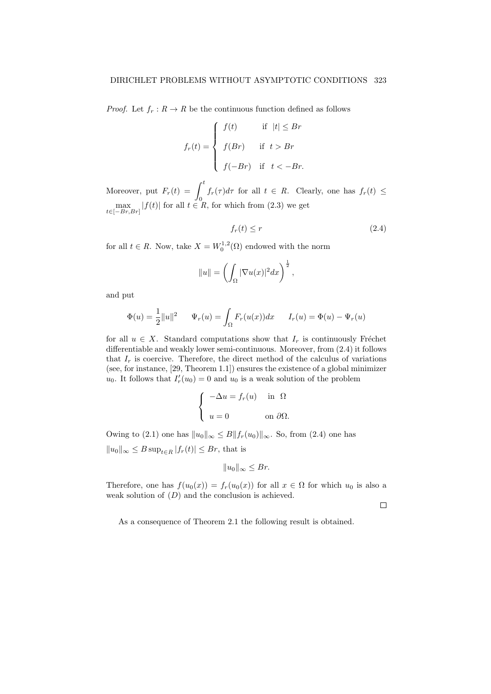*Proof.* Let  $f_r : R \to R$  be the continuous function defined as follows

$$
f_r(t) = \begin{cases} f(t) & \text{if } |t| \leq Br \\ f(Br) & \text{if } t > Br \\ f(-Br) & \text{if } t < -Br. \end{cases}
$$

Moreover, put  $F_r(t) = \int_0^t f_r(\tau) d\tau$  for all  $t \in R$ . Clearly, one has  $f_r(t) \le$  $\max_{t \in [-Br, Br]} |f(t)|$  for all  $t \in R$ , for which from (2.3) we get

$$
f_r(t) \le r \tag{2.4}
$$

for all  $t \in R$ . Now, take  $X = W_0^{1,2}(\Omega)$  endowed with the norm

$$
||u|| = \left(\int_{\Omega} |\nabla u(x)|^2 dx\right)^{\frac{1}{2}},
$$

and put

$$
\Phi(u) = \frac{1}{2} ||u||^2 \qquad \Psi_r(u) = \int_{\Omega} F_r(u(x)) dx \qquad I_r(u) = \Phi(u) - \Psi_r(u)
$$

for all  $u \in X$ . Standard computations show that  $I_r$  is continuously Fréchet differentiable and weakly lower semi-continuous. Moreover, from (2.4) it follows that  $I_r$  is coercive. Therefore, the direct method of the calculus of variations (see, for instance, [29, Theorem 1.1]) ensures the existence of a global minimizer  $u_0$ . It follows that  $I'_r(u_0) = 0$  and  $u_0$  is a weak solution of the problem

$$
\begin{cases}\n-\Delta u = f_r(u) & \text{in } \Omega \\
u = 0 & \text{on } \partial\Omega.\n\end{cases}
$$

Owing to (2.1) one has  $||u_0||_{\infty} \leq B||f_r(u_0)||_{\infty}$ . So, from (2.4) one has  $||u_0||_{\infty} \leq B \sup_{t \in R} |f_r(t)| \leq Br$ , that is

$$
||u_0||_{\infty} \leq Br.
$$

Therefore, one has  $f(u_0(x)) = f_r(u_0(x))$  for all  $x \in \Omega$  for which  $u_0$  is also a weak solution of  $(D)$  and the conclusion is achieved.

 $\Box$ 

As a consequence of Theorem 2.1 the following result is obtained.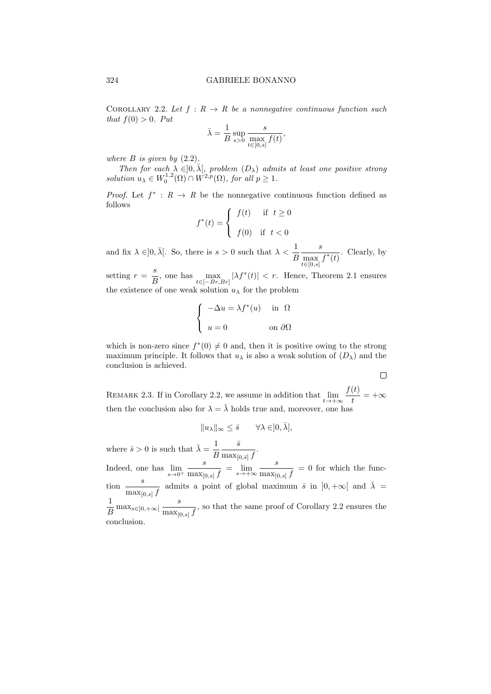COROLLARY 2.2. Let  $f: R \to R$  be a nonnegative continuous function such that  $f(0) > 0$ . Put

$$
\bar{\lambda} = \frac{1}{B} \sup_{s>0} \frac{s}{\max_{t \in [0,s]} f(t)},
$$

where  $B$  is given by  $(2.2)$ .

Then for each  $\lambda \in ]0, \bar{\lambda}],$  problem  $(D_{\lambda})$  admits at least one positive strong solution  $u_{\lambda} \in W_0^{1,2}(\Omega) \cap W^{2,p}(\Omega)$ , for all  $p \geq 1$ .

*Proof.* Let  $f^*$ :  $R \to R$  be the nonnegative continuous function defined as follows

$$
f^*(t) = \begin{cases} f(t) & \text{if } t \ge 0 \\ f(0) & \text{if } t < 0 \end{cases}
$$

and fix  $\lambda \in ]0, \bar{\lambda}[$ . So, there is  $s > 0$  such that  $\lambda < \frac{1}{B}$ s  $\frac{e}{\max f^*(t)}$ . Clearly, by  $t \in [0,s]$ 

setting  $r = \frac{s}{\tau}$  $\frac{s}{B}$ , one has  $\max_{t \in [-Br, Br]} |\lambda f^*(t)| < r$ . Hence, Theorem 2.1 ensures the existence of one weak solution  $u_\lambda$  for the problem

$$
\left\{ \begin{array}{ll} -\Delta u = \lambda f^*(u) & \text{in } \ \Omega \\ u = 0 & \text{on } \partial\Omega \end{array} \right.
$$

which is non-zero since  $f^*(0) \neq 0$  and, then it is positive owing to the strong maximum principle. It follows that  $u_{\lambda}$  is also a weak solution of  $(D_{\lambda})$  and the conclusion is achieved.

 $\Box$ 

REMARK 2.3. If in Corollary 2.2, we assume in addition that  $\lim_{t\to+\infty}\frac{f(t)}{t}$  $\frac{v}{t}$  =  $+\infty$ then the conclusion also for  $\lambda = \overline{\lambda}$  holds true and, moreover, one has

$$
||u_\lambda||_\infty\leq \bar s \qquad \forall \lambda\in ]0,\bar \lambda],
$$

where  $\bar{s} > 0$  is such that  $\bar{\lambda} = \frac{1}{\bar{k}}$ B  $\bar{s}$  $\frac{1}{\max_{[0,\bar{s}]} f}$ . Indeed, one has  $\lim_{s\to 0^+}$ s  $\frac{s}{\max_{[0,s]}f} = \lim_{s \to +\infty} \frac{s}{\max_{[0,s]}f}$  $\frac{\partial}{\partial \max_{[0,s]} f} = 0$  for which the func- $\frac{s}{s}$  $\frac{s}{\max_{[0,s]} f}$  admits a point of global maximum  $\bar{s}$  in  $]0, +\infty[$  and  $\bar{\lambda}$  = 1  $\frac{1}{B} \max_{s \in ]0,+\infty[} \frac{s}{\max_{[0,1]} s}$  $\frac{1}{\max_{[0,s]} f}$ , so that the same proof of Corollary 2.2 ensures the conclusion.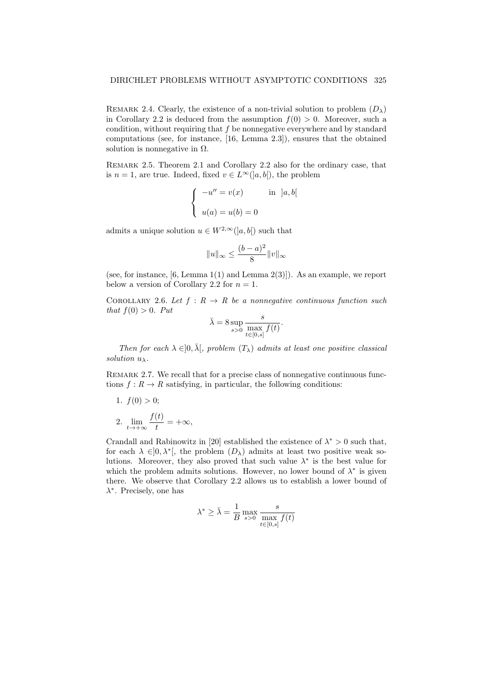REMARK 2.4. Clearly, the existence of a non-trivial solution to problem  $(D_\lambda)$ in Corollary 2.2 is deduced from the assumption  $f(0) > 0$ . Moreover, such a condition, without requiring that f be nonnegative everywhere and by standard computations (see, for instance, [16, Lemma 2.3]), ensures that the obtained solution is nonnegative in  $\Omega$ .

Remark 2.5. Theorem 2.1 and Corollary 2.2 also for the ordinary case, that is  $n = 1$ , are true. Indeed, fixed  $v \in L^{\infty}(]a, b[)$ , the problem

$$
\begin{cases}\n-u'' = v(x) & \text{in } [a, b[ \\
u(a) = u(b) = 0\n\end{cases}
$$

admits a unique solution  $u \in W^{2,\infty}([a, b])$  such that

$$
||u||_{\infty}\leq \frac{(b-a)^2}{8}||v||_{\infty}
$$

(see, for instance,  $[6, \text{Lemma } 1(1)$  and Lemma  $2(3)]$ ). As an example, we report below a version of Corollary 2.2 for  $n = 1$ .

COROLLARY 2.6. Let  $f: R \to R$  be a nonnegative continuous function such that  $f(0) > 0$ . Put

$$
\bar{\lambda} = 8 \sup_{s > 0} \frac{s}{\max_{t \in [0, s]} f(t)}.
$$

Then for each  $\lambda \in ]0, \overline{\lambda}$ , problem  $(T_{\lambda})$  admits at least one positive classical solution  $u_{\lambda}$ .

REMARK 2.7. We recall that for a precise class of nonnegative continuous functions  $f: R \to R$  satisfying, in particular, the following conditions:

1.  $f(0) > 0$ ; 2.  $\lim_{t\to+\infty}\frac{f(t)}{t}$  $\frac{v}{t} = +\infty$ ,

Crandall and Rabinowitz in [20] established the existence of  $\lambda^* > 0$  such that, for each  $\lambda \in ]0, \lambda^*[$ , the problem  $(D_{\lambda})$  admits at least two positive weak solutions. Moreover, they also proved that such value  $\lambda^*$  is the best value for which the problem admits solutions. However, no lower bound of  $\lambda^*$  is given there. We observe that Corollary 2.2 allows us to establish a lower bound of  $\lambda^*$ . Precisely, one has

$$
\lambda^* \ge \bar{\lambda} = \frac{1}{B} \max_{s>0} \frac{s}{\max_{t \in [0,s]} f(t)}
$$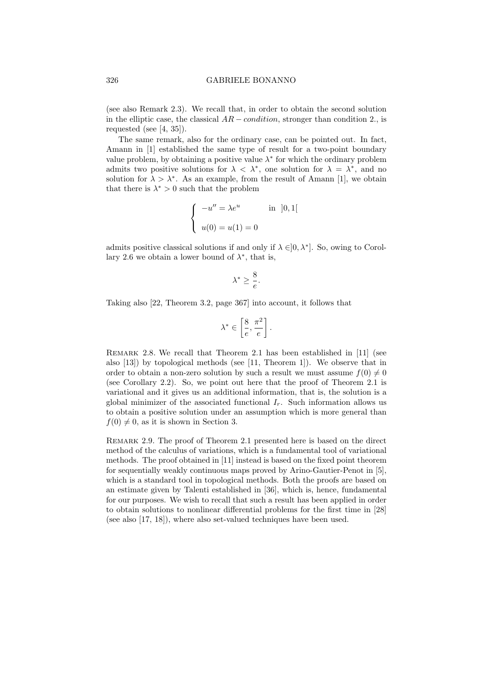#### 326 GABRIELE BONANNO

(see also Remark 2.3). We recall that, in order to obtain the second solution in the elliptic case, the classical  $AR$  − *condition*, stronger than condition 2., is requested (see [4, 35]).

The same remark, also for the ordinary case, can be pointed out. In fact, Amann in [1] established the same type of result for a two-point boundary value problem, by obtaining a positive value  $\lambda^*$  for which the ordinary problem admits two positive solutions for  $\lambda < \lambda^*$ , one solution for  $\lambda = \lambda^*$ , and no solution for  $\lambda > \lambda^*$ . As an example, from the result of Amann [1], we obtain that there is  $\lambda^* > 0$  such that the problem

$$
\begin{cases}\n-u'' = \lambda e^u & \text{in } [0,1[ \\
u(0) = u(1) = 0\n\end{cases}
$$

admits positive classical solutions if and only if  $\lambda \in ]0, \lambda^*]$ . So, owing to Corollary 2.6 we obtain a lower bound of  $\lambda^*$ , that is,

$$
\lambda^* \geq \frac{8}{e}.
$$

Taking also [22, Theorem 3.2, page 367] into account, it follows that

$$
\lambda^* \in \left[\frac{8}{e}, \frac{\pi^2}{e}\right].
$$

Remark 2.8. We recall that Theorem 2.1 has been established in [11] (see also [13]) by topological methods (see [11, Theorem 1]). We observe that in order to obtain a non-zero solution by such a result we must assume  $f(0) \neq 0$ (see Corollary 2.2). So, we point out here that the proof of Theorem 2.1 is variational and it gives us an additional information, that is, the solution is a global minimizer of the associated functional  $I_r$ . Such information allows us to obtain a positive solution under an assumption which is more general than  $f(0) \neq 0$ , as it is shown in Section 3.

Remark 2.9. The proof of Theorem 2.1 presented here is based on the direct method of the calculus of variations, which is a fundamental tool of variational methods. The proof obtained in [11] instead is based on the fixed point theorem for sequentially weakly continuous maps proved by Arino-Gautier-Penot in [5], which is a standard tool in topological methods. Both the proofs are based on an estimate given by Talenti established in [36], which is, hence, fundamental for our purposes. We wish to recall that such a result has been applied in order to obtain solutions to nonlinear differential problems for the first time in [28] (see also [17, 18]), where also set-valued techniques have been used.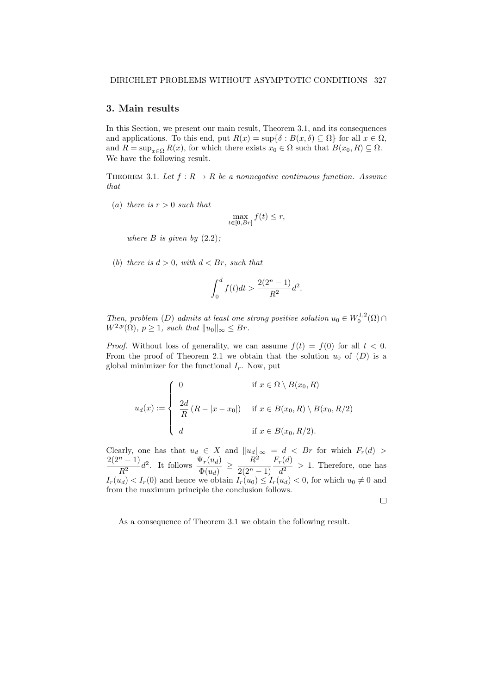### 3. Main results

In this Section, we present our main result, Theorem 3.1, and its consequences and applications. To this end, put  $R(x) = \sup{\{\delta : B(x, \delta) \subseteq \Omega\}}$  for all  $x \in \Omega$ , and  $R = \sup_{x \in \Omega} R(x)$ , for which there exists  $x_0 \in \Omega$  such that  $B(x_0, R) \subseteq \Omega$ . We have the following result.

THEOREM 3.1. Let  $f: R \to R$  be a nonnegative continuous function. Assume that

(a) there is  $r > 0$  such that

$$
\max_{t\in [0, Br]} f(t) \leq r,
$$

where  $B$  is given by  $(2.2)$ ;

(b) there is  $d > 0$ , with  $d < Br$ , such that

$$
\int_0^d f(t)dt > \frac{2(2^n - 1)}{R^2}d^2.
$$

Then, problem (D) admits at least one strong positive solution  $u_0 \in W_0^{1,2}(\Omega) \cap$  $W^{2,p}(\Omega)$ ,  $p \geq 1$ , such that  $||u_0||_{\infty} \leq Br$ .

*Proof.* Without loss of generality, we can assume  $f(t) = f(0)$  for all  $t < 0$ . From the proof of Theorem 2.1 we obtain that the solution  $u_0$  of  $(D)$  is a global minimizer for the functional  $I_r$ . Now, put

$$
u_d(x) := \begin{cases} 0 & \text{if } x \in \Omega \setminus B(x_0, R) \\ \frac{2d}{R} (R - |x - x_0|) & \text{if } x \in B(x_0, R) \setminus B(x_0, R/2) \\ d & \text{if } x \in B(x_0, R/2). \end{cases}
$$

Clearly, one has that  $u_d \in X$  and  $||u_d||_{\infty} = d \langle B_r$  for which  $F_r(d)$  $2(2^n - 1)$  $\frac{n-1}{R^2}d^2$ . It follows  $\frac{\Psi_r(u_d)}{\Phi(u_d)} \geq \frac{R^2}{2(2^n-1)}$  $2(2^n - 1)$  $F_r(d)$  $\frac{d^{2}}{d^{2}} > 1$ . Therefore, one has  $I_r(u_d) < I_r(0)$  and hence we obtain  $I_r(u_0) \leq I_r(u_d) < 0$ , for which  $u_0 \neq 0$  and from the maximum principle the conclusion follows.

 $\Box$ 

As a consequence of Theorem 3.1 we obtain the following result.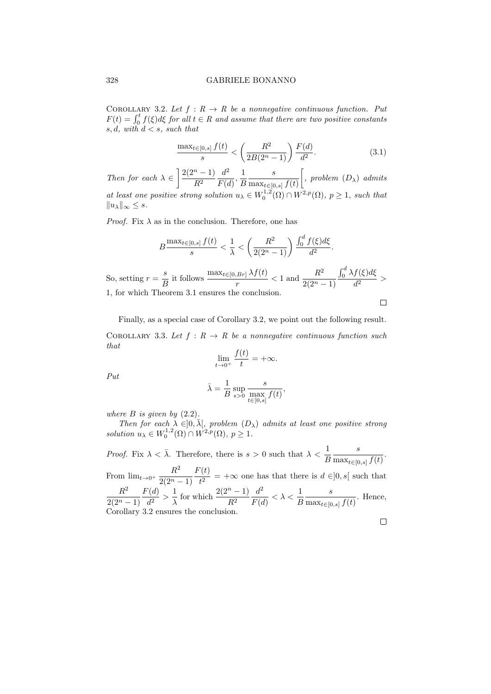COROLLARY 3.2. Let  $f: R \to R$  be a nonnegative continuous function. Put  $F(t) = \int_0^t f(\xi) d\xi$  for all  $t \in R$  and assume that there are two positive constants s, d, with  $d \leq s$ , such that

$$
\frac{\max_{t \in [0,s]} f(t)}{s} < \left(\frac{R^2}{2B(2^n - 1)}\right) \frac{F(d)}{d^2}.\tag{3.1}
$$

Then for each  $\lambda \in \left[\frac{2(2^n-1)}{2^n}\right]$  $R^2$  $d^2$  $\frac{d^2}{F(d)}, \frac{1}{E}$ B s  $\max_{t\in[0,s]} f(t)$  $\int$ , problem  $(D_\lambda)$  admits at least one positive strong solution  $u_{\lambda} \in W_0^{1,2}(\Omega) \cap W^{2,p}(\Omega)$ ,  $p \geq 1$ , such that  $||u_\lambda||_\infty \leq s.$ 

*Proof.* Fix  $\lambda$  as in the conclusion. Therefore, one has

$$
B \frac{\max_{t \in [0,s]} f(t)}{s} < \frac{1}{\lambda} < \left(\frac{R^2}{2(2^n - 1)}\right) \frac{\int_0^d f(\xi) d\xi}{d^2}.
$$
\nSo, setting  $r = \frac{s}{B}$  it follows  $\frac{\max_{t \in [0,Br]} \lambda f(t)}{r} < 1$  and  $\frac{R^2}{2(2^n - 1)} \frac{\int_0^d \lambda f(\xi) d\xi}{d^2} > 1$ , for which Theorem 3.1 ensures the conclusion.

\n
$$
\Box
$$

Finally, as a special case of Corollary 3.2, we point out the following result. COROLLARY 3.3. Let  $f: R \to R$  be a nonnegative continuous function such that

$$
\lim_{t \to 0^+} \frac{f(t)}{t} = +\infty.
$$

Put

$$
\bar{\lambda} = \frac{1}{B} \sup_{s>0} \frac{s}{\max_{t \in [0,s]} f(t)},
$$

where  $B$  is given by  $(2.2)$ .

Then for each  $\lambda \in ]0, \bar{\lambda}],$  problem  $(D_{\lambda})$  admits at least one positive strong solution  $u_{\lambda} \in W_0^{1,2}(\Omega) \cap W^{2,p}(\Omega)$ ,  $p \geq 1$ .

*Proof.* Fix  $\lambda < \overline{\lambda}$ . Therefore, there is  $s > 0$  such that  $\lambda < \frac{1}{B}$ s  $\frac{1}{\max_{t\in[0,s]}f(t)}$ .

From  $\lim_{t\to 0^+} \frac{R^2}{2(2n)}$  $2(2^n - 1)$  $F(t)$  $\frac{\partial^2 u}{\partial t^2}$  = + $\infty$  one has that there is  $d \in ]0, s[$  such that  $R^2$  $2(2^n - 1)$  $F(d)$  $\frac{d^2(d)}{d^2} > \frac{1}{\lambda}$  $\frac{1}{\lambda}$  for which  $\frac{2(2^n-1)}{R^2}$  $d^2$  $\frac{d^2}{F(d)} < \lambda < \frac{1}{B}$ s  $\frac{c}{\max_{t\in[0,s]}f(t)}$ . Hence, Corollary 3.2 ensures the conclusion.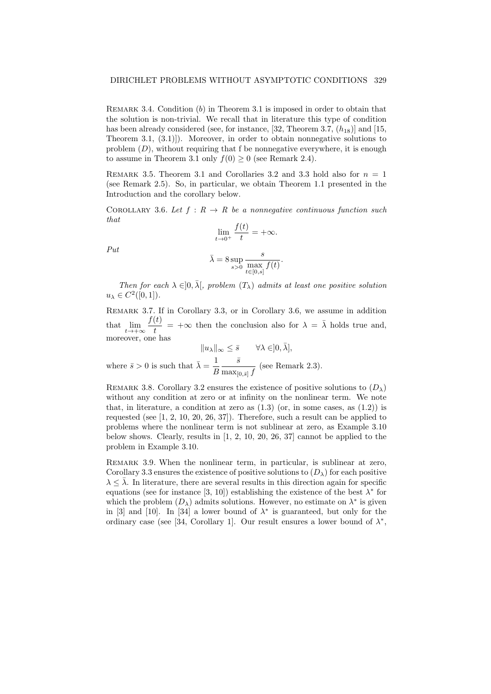REMARK 3.4. Condition  $(b)$  in Theorem 3.1 is imposed in order to obtain that the solution is non-trivial. We recall that in literature this type of condition has been already considered (see, for instance, [32, Theorem 3.7,  $(h_{18})$ ] and [15, Theorem 3.1, (3.1)]). Moreover, in order to obtain nonnegative solutions to problem  $(D)$ , without requiring that f be nonnegative everywhere, it is enough to assume in Theorem 3.1 only  $f(0) \ge 0$  (see Remark 2.4).

REMARK 3.5. Theorem 3.1 and Corollaries 3.2 and 3.3 hold also for  $n = 1$ (see Remark 2.5). So, in particular, we obtain Theorem 1.1 presented in the Introduction and the corollary below.

COROLLARY 3.6. Let  $f: R \to R$  be a nonnegative continuous function such that

$$
\lim_{t \to 0^+} \frac{f(t)}{t} = +\infty.
$$

$$
\bar{\lambda} = 8 \sup_{s > 0} \frac{s}{\max_{t \in [0, s]} f(t)}.
$$

Put

Then for each 
$$
\lambda \in ]0, \bar{\lambda}[
$$
, problem  $(T_{\lambda})$  admits at least one positive solution  $u_{\lambda} \in C^2([0,1])$ .

Remark 3.7. If in Corollary 3.3, or in Corollary 3.6, we assume in addition that  $\lim_{t\to+\infty}\frac{f(t)}{t}$  $\frac{\partial(t)}{\partial t}$  =  $+\infty$  then the conclusion also for  $\lambda = \overline{\lambda}$  holds true and, moreover, one has

 $||u_\lambda||_\infty \leq \bar{s}$   $\forall \lambda \in ]0, \bar{\lambda}],$ where  $\bar{s} > 0$  is such that  $\bar{\lambda} = \frac{1}{\bar{k}}$ B  $\bar{s}$  $\frac{6}{\max_{[0,\bar{s}]} f}$  (see Remark 2.3).

REMARK 3.8. Corollary 3.2 ensures the existence of positive solutions to  $(D_\lambda)$ without any condition at zero or at infinity on the nonlinear term. We note that, in literature, a condition at zero as  $(1.3)$  (or, in some cases, as  $(1.2)$ ) is requested (see [1, 2, 10, 20, 26, 37]). Therefore, such a result can be applied to problems where the nonlinear term is not sublinear at zero, as Example 3.10 below shows. Clearly, results in [1, 2, 10, 20, 26, 37] cannot be applied to the problem in Example 3.10.

REMARK 3.9. When the nonlinear term, in particular, is sublinear at zero, Corollary 3.3 ensures the existence of positive solutions to  $(D_\lambda)$  for each positive  $\lambda \leq \overline{\lambda}$ . In literature, there are several results in this direction again for specific equations (see for instance [3, 10]) establishing the existence of the best  $\lambda^*$  for which the problem  $(D_\lambda)$  admits solutions. However, no estimate on  $\lambda^*$  is given in [3] and [10]. In [34] a lower bound of  $\lambda^*$  is guaranteed, but only for the ordinary case (see [34, Corollary 1]. Our result ensures a lower bound of  $\lambda^*$ ,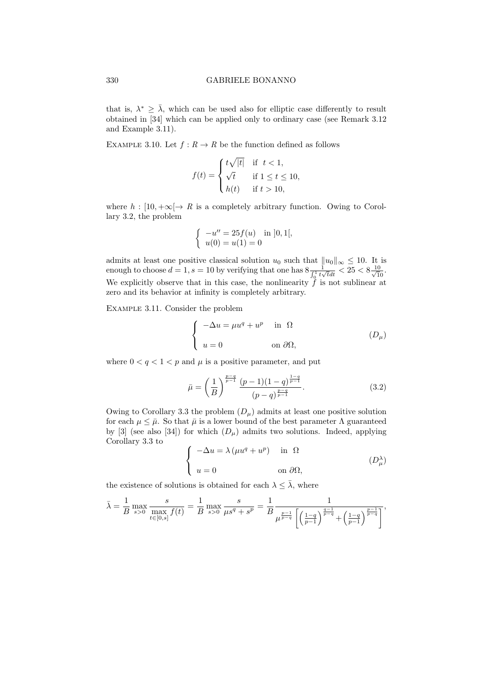that is,  $\lambda^* \geq \overline{\lambda}$ , which can be used also for elliptic case differently to result obtained in [34] which can be applied only to ordinary case (see Remark 3.12 and Example 3.11).

EXAMPLE 3.10. Let  $f: R \to R$  be the function defined as follows

$$
f(t) = \begin{cases} t\sqrt{|t|} & \text{if } t < 1, \\ \sqrt{t} & \text{if } 1 \le t \le 10, \\ h(t) & \text{if } t > 10, \end{cases}
$$

where  $h : [10, +\infty] \to R$  is a completely arbitrary function. Owing to Corollary 3.2, the problem

$$
\begin{cases}\n-u'' = 25f(u) & \text{in } ]0,1[,\n\\ \nu(0) = u(1) = 0\n\end{cases}
$$

admits at least one positive classical solution  $u_0$  such that  $||u_0||_{\infty} \leq 10$ . It is enough to choose  $d = 1$ ,  $s = 10$  by verifying that one has  $8 \frac{1}{\int_0^1 t \sqrt{t} dt} < 25 < 8 \frac{10}{\sqrt{10}}$ . We explicitly observe that in this case, the nonlinearity  $\hat{f}$  is not sublinear at zero and its behavior at infinity is completely arbitrary.

Example 3.11. Consider the problem

$$
\begin{cases}\n-\Delta u = \mu u^q + u^p & \text{in } \Omega \\
u = 0 & \text{on } \partial \Omega,\n\end{cases}
$$
\n
$$
(D_{\mu})
$$

where  $0 < q < 1 < p$  and  $\mu$  is a positive parameter, and put

$$
\bar{\mu} = \left(\frac{1}{B}\right)^{\frac{p-q}{p-1}} \frac{(p-1)(1-q)^{\frac{1-q}{p-1}}}{(p-q)^{\frac{p-q}{p-1}}}.
$$
\n(3.2)

Owing to Corollary 3.3 the problem  $(D_\mu)$  admits at least one positive solution for each  $\mu \leq \bar{\mu}$ . So that  $\bar{\mu}$  is a lower bound of the best parameter  $\Lambda$  guaranteed by [3] (see also [34]) for which  $(D_\mu)$  admits two solutions. Indeed, applying Corollary 3.3 to

$$
\begin{cases}\n-\Delta u = \lambda \left(\mu u^q + u^p\right) & \text{in } \Omega \\
u = 0 & \text{on } \partial\Omega,\n\end{cases}
$$
\n
$$
(D_{\mu}^{\lambda})
$$

the existence of solutions is obtained for each  $\lambda \leq \overline{\lambda}$ , where

$$
\bar{\lambda} = \frac{1}{B} \max_{s>0} \frac{s}{\max_{t \in [0,s]} f(t)} = \frac{1}{B} \max_{s>0} \frac{s}{\mu s^q + s^p} = \frac{1}{B} \frac{1}{\mu^{\frac{p-1}{p-q}} \left[ \left( \frac{1-q}{p-1} \right)^{\frac{q-1}{p-q}} + \left( \frac{1-q}{p-1} \right)^{\frac{p-1}{p-q}} \right]},
$$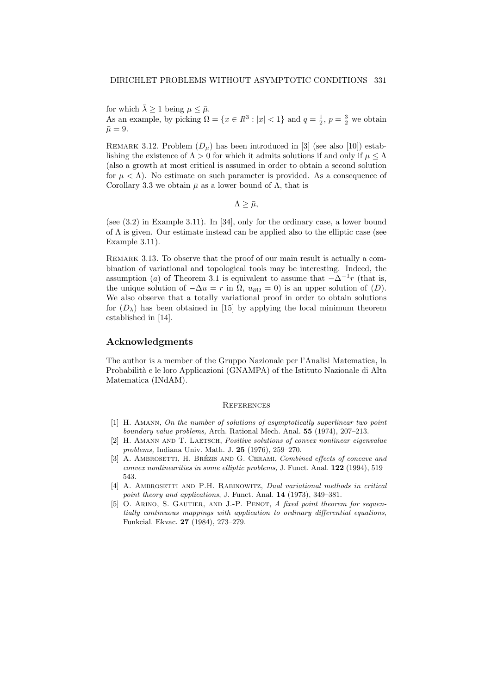for which  $\bar{\lambda} \geq 1$  being  $\mu \leq \bar{\mu}$ . As an example, by picking  $\Omega = \{x \in \mathbb{R}^3 : |x| < 1\}$  and  $q = \frac{1}{2}, p = \frac{3}{2}$  we obtain  $\bar{\mu} = 9.$ 

REMARK 3.12. Problem  $(D_\mu)$  has been introduced in [3] (see also [10]) establishing the existence of  $\Lambda > 0$  for which it admits solutions if and only if  $\mu \leq \Lambda$ (also a growth at most critical is assumed in order to obtain a second solution for  $\mu < \Lambda$ ). No estimate on such parameter is provided. As a consequence of Corollary 3.3 we obtain  $\bar{\mu}$  as a lower bound of  $\Lambda$ , that is

 $\Lambda > \bar{\mu}$ ,

(see (3.2) in Example 3.11). In [34], only for the ordinary case, a lower bound of  $\Lambda$  is given. Our estimate instead can be applied also to the elliptic case (see Example 3.11).

REMARK 3.13. To observe that the proof of our main result is actually a combination of variational and topological tools may be interesting. Indeed, the assumption (a) of Theorem 3.1 is equivalent to assume that  $-\Delta^{-1}r$  (that is, the unique solution of  $-\Delta u = r$  in  $\Omega$ ,  $u_{\partial\Omega} = 0$ ) is an upper solution of  $(D)$ . We also observe that a totally variational proof in order to obtain solutions for  $(D_\lambda)$  has been obtained in [15] by applying the local minimum theorem established in [14].

## Acknowledgments

The author is a member of the Gruppo Nazionale per l'Analisi Matematica, la Probabilit`a e le loro Applicazioni (GNAMPA) of the Istituto Nazionale di Alta Matematica (INdAM).

#### **REFERENCES**

- [1] H. Amann, On the number of solutions of asymptotically superlinear two point boundary value problems, Arch. Rational Mech. Anal. 55 (1974), 207–213.
- [2] H. Amann and T. Laetsch, Positive solutions of convex nonlinear eigenvalue problems, Indiana Univ. Math. J. 25 (1976), 259–270.
- [3] A. AMBROSETTI, H. BRÉZIS AND G. CERAMI, Combined effects of concave and convex nonlinearities in some elliptic problems, J. Funct. Anal. 122 (1994), 519– 543.
- [4] A. AMBROSETTI AND P.H. RABINOWITZ, *Dual variational methods in critical* point theory and applications, J. Funct. Anal. 14 (1973), 349–381.
- [5] O. ARINO, S. GAUTIER, AND J.-P. PENOT, A fixed point theorem for sequentially continuous mappings with application to ordinary differential equations, Funkcial. Ekvac. 27 (1984), 273–279.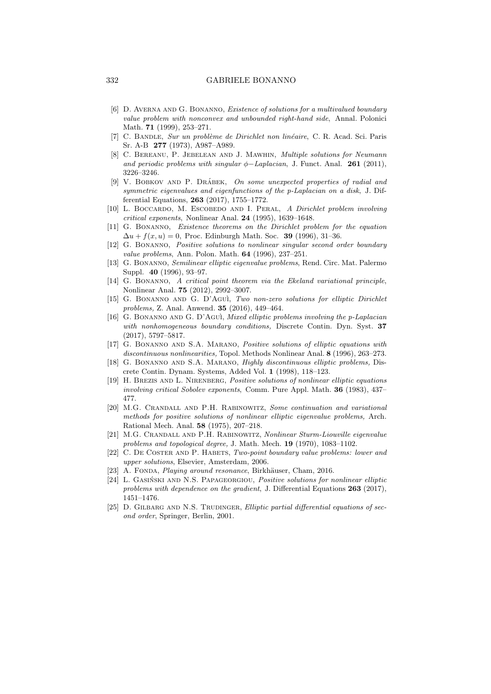#### 332 GABRIELE BONANNO

- [6] D. AVERNA AND G. BONANNO, *Existence of solutions for a multivalued boundary* value problem with nonconvex and unbounded right-hand side, Annal. Polonici Math. 71 (1999), 253–271.
- [7] C. BANDLE, Sur un problème de Dirichlet non linéaire, C. R. Acad. Sci. Paris Sr. A-B 277 (1973), A987–A989.
- [8] C. BEREANU, P. JEBELEAN AND J. MAWHIN, *Multiple solutions for Neumann* and periodic problems with singular  $\phi$ -Laplacian, J. Funct. Anal. 261 (2011), 3226–3246.
- [9] V. BOBKOV AND P. DRÁBEK, On some unexpected properties of radial and symmetric eigenvalues and eigenfunctions of the p-Laplacian on a disk, J. Differential Equations, 263 (2017), 1755–1772.
- [10] L. BOCCARDO, M. ESCOBEDO AND I. PERAL, A Dirichlet problem involving critical exponents, Nonlinear Anal. 24 (1995), 1639–1648.
- [11] G. Bonanno, Existence theorems on the Dirichlet problem for the equation  $\Delta u + f(x, u) = 0$ , Proc. Edinburgh Math. Soc. 39 (1996), 31–36.
- [12] G. Bonanno, Positive solutions to nonlinear singular second order boundary value problems, Ann. Polon. Math. 64 (1996), 237–251.
- [13] G. Bonanno, Semilinear elliptic eigenvalue problems, Rend. Circ. Mat. Palermo Suppl. 40 (1996), 93–97.
- [14] G. Bonanno, A critical point theorem via the Ekeland variational principle, Nonlinear Anal. 75 (2012), 2992–3007.
- [15] G. BONANNO AND G. D'AGUÌ, Two non-zero solutions for elliptic Dirichlet problems, Z. Anal. Anwend. 35 (2016), 449–464.
- [16] G. Bonanno and G. D'Agu`ı, Mixed elliptic problems involving the p-Laplacian with nonhomogeneous boundary conditions, Discrete Contin. Dyn. Syst. 37 (2017), 5797–5817.
- [17] G. Bonanno and S.A. Marano, Positive solutions of elliptic equations with discontinuous nonlinearities, Topol. Methods Nonlinear Anal. 8 (1996), 263–273.
- [18] G. Bonanno and S.A. Marano, Highly discontinuous elliptic problems, Discrete Contin. Dynam. Systems, Added Vol. 1 (1998), 118–123.
- [19] H. Brezis and L. Nirenberg, Positive solutions of nonlinear elliptic equations involving critical Sobolev exponents, Comm. Pure Appl. Math. 36 (1983), 437– 477.
- [20] M.G. Crandall and P.H. Rabinowitz, Some continuation and variational methods for positive solutions of nonlinear elliptic eigenvalue problems, Arch. Rational Mech. Anal. 58 (1975), 207–218.
- [21] M.G. Crandall and P.H. Rabinowitz, Nonlinear Sturm-Liouville eigenvalue problems and topological degree, J. Math. Mech. 19 (1970), 1083–1102.
- [22] C. De Coster and P. Habets, Two-point boundary value problems: lower and upper solutions, Elsevier, Amsterdam, 2006.
- [23] A. FONDA, *Playing around resonance*, Birkhäuser, Cham, 2016.
- [24] L. GASIŃSKI AND N.S. PAPAGEORGIOU, Positive solutions for nonlinear elliptic problems with dependence on the gradient, J. Differential Equations 263 (2017), 1451–1476.
- [25] D. GILBARG AND N.S. TRUDINGER, Elliptic partial differential equations of second order, Springer, Berlin, 2001.